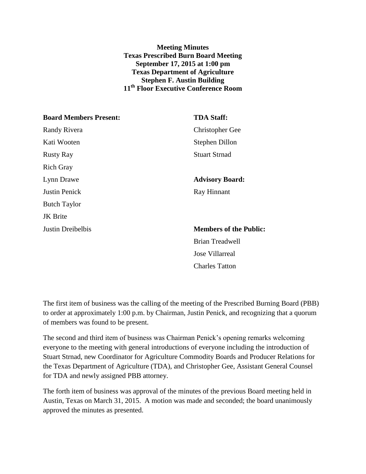**Meeting Minutes Texas Prescribed Burn Board Meeting September 17, 2015 at 1:00 pm Texas Department of Agriculture Stephen F. Austin Building 11th Floor Executive Conference Room**

| <b>Board Members Present:</b> | <b>TDA Staff:</b>             |
|-------------------------------|-------------------------------|
| <b>Randy Rivera</b>           | <b>Christopher Gee</b>        |
| Kati Wooten                   | Stephen Dillon                |
| <b>Rusty Ray</b>              | <b>Stuart Strnad</b>          |
| <b>Rich Gray</b>              |                               |
| Lynn Drawe                    | <b>Advisory Board:</b>        |
| <b>Justin Penick</b>          | Ray Hinnant                   |
| <b>Butch Taylor</b>           |                               |
| <b>JK</b> Brite               |                               |
| Justin Dreibelbis             | <b>Members of the Public:</b> |
|                               | <b>Brian Treadwell</b>        |
|                               | Jose Villarreal               |
|                               |                               |

The first item of business was the calling of the meeting of the Prescribed Burning Board (PBB) to order at approximately 1:00 p.m. by Chairman, Justin Penick, and recognizing that a quorum of members was found to be present.

Charles Tatton

The second and third item of business was Chairman Penick's opening remarks welcoming everyone to the meeting with general introductions of everyone including the introduction of Stuart Strnad, new Coordinator for Agriculture Commodity Boards and Producer Relations for the Texas Department of Agriculture (TDA), and Christopher Gee, Assistant General Counsel for TDA and newly assigned PBB attorney.

The forth item of business was approval of the minutes of the previous Board meeting held in Austin, Texas on March 31, 2015. A motion was made and seconded; the board unanimously approved the minutes as presented.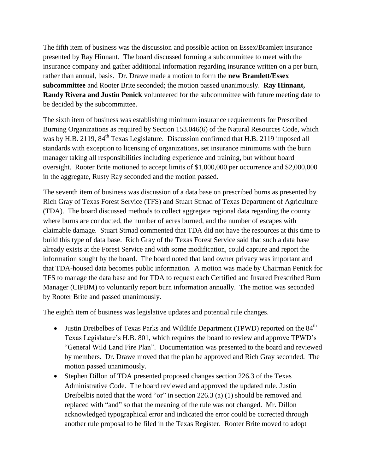The fifth item of business was the discussion and possible action on Essex/Bramlett insurance presented by Ray Hinnant. The board discussed forming a subcommittee to meet with the insurance company and gather additional information regarding insurance written on a per burn, rather than annual, basis. Dr. Drawe made a motion to form the **new Bramlett/Essex subcommittee** and Rooter Brite seconded; the motion passed unanimously. **Ray Hinnant, Randy Rivera and Justin Penick** volunteered for the subcommittee with future meeting date to be decided by the subcommittee.

The sixth item of business was establishing minimum insurance requirements for Prescribed Burning Organizations as required by Section 153.046(6) of the Natural Resources Code, which was by H.B. 2119, 84<sup>th</sup> Texas Legislature. Discussion confirmed that H.B. 2119 imposed all standards with exception to licensing of organizations, set insurance minimums with the burn manager taking all responsibilities including experience and training, but without board oversight. Rooter Brite motioned to accept limits of \$1,000,000 per occurrence and \$2,000,000 in the aggregate, Rusty Ray seconded and the motion passed.

The seventh item of business was discussion of a data base on prescribed burns as presented by Rich Gray of Texas Forest Service (TFS) and Stuart Strnad of Texas Department of Agriculture (TDA). The board discussed methods to collect aggregate regional data regarding the county where burns are conducted, the number of acres burned, and the number of escapes with claimable damage. Stuart Strnad commented that TDA did not have the resources at this time to build this type of data base. Rich Gray of the Texas Forest Service said that such a data base already exists at the Forest Service and with some modification, could capture and report the information sought by the board. The board noted that land owner privacy was important and that TDA-housed data becomes public information. A motion was made by Chairman Penick for TFS to manage the data base and for TDA to request each Certified and Insured Prescribed Burn Manager (CIPBM) to voluntarily report burn information annually. The motion was seconded by Rooter Brite and passed unanimously.

The eighth item of business was legislative updates and potential rule changes.

- Justin Dreibelbes of Texas Parks and Wildlife Department (TPWD) reported on the  $84<sup>th</sup>$ Texas Legislature's H.B. 801, which requires the board to review and approve TPWD's "General Wild Land Fire Plan". Documentation was presented to the board and reviewed by members. Dr. Drawe moved that the plan be approved and Rich Gray seconded. The motion passed unanimously.
- Stephen Dillon of TDA presented proposed changes section 226.3 of the Texas Administrative Code. The board reviewed and approved the updated rule. Justin Dreibelbis noted that the word "or" in section 226.3 (a) (1) should be removed and replaced with "and" so that the meaning of the rule was not changed. Mr. Dillon acknowledged typographical error and indicated the error could be corrected through another rule proposal to be filed in the Texas Register. Rooter Brite moved to adopt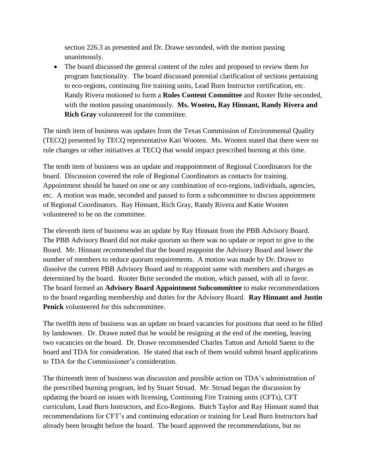section 226.3 as presented and Dr. Drawe seconded, with the motion passing unanimously.

 The board discussed the general content of the rules and proposed to review them for program functionality. The board discussed potential clarification of sections pertaining to eco-regions, continuing fire training units, Lead Burn Instructor certification, etc. Randy Rivera motioned to form a **Rules Content Committee** and Rooter Brite seconded, with the motion passing unanimously. **Ms. Wooten, Ray Hinnant, Randy Rivera and Rich Gray** volunteered for the committee.

The ninth item of business was updates from the Texas Commission of Environmental Quality (TECQ) presented by TECQ representative Kati Wooten. Ms. Wooten stated that there were no rule changes or other initiatives at TECQ that would impact prescribed burning at this time.

The tenth item of business was an update and reappointment of Regional Coordinators for the board. Discussion covered the role of Regional Coordinators as contacts for training. Appointment should be based on one or any combination of eco-regions, individuals, agencies, etc. A motion was made, seconded and passed to form a subcommittee to discuss appointment of Regional Coordinators. Ray Hinnant, Rich Gray, Randy Rivera and Katie Wooten volunteered to be on the committee.

The eleventh item of business was an update by Ray Hinnant from the PBB Advisory Board. The PBB Advisory Board did not make quorum so there was no update or report to give to the Board. Mr. Hinnant recommended that the board reappoint the Advisory Board and lower the number of members to reduce quorum requirements. A motion was made by Dr. Drawe to dissolve the current PBB Advisory Board and to reappoint same with members and charges as determined by the board. Rooter Brite seconded the motion, which passed, with all in favor. The board formed an **Advisory Board Appointment Subcommittee** to make recommendations to the board regarding membership and duties for the Advisory Board. **Ray Hinnant and Justin Penick** volunteered for this subcommittee.

The twelfth item of business was an update on board vacancies for positions that need to be filled by landowner. Dr. Drawe noted that he would be resigning at the end of the meeting, leaving two vacancies on the board. Dr. Drawe recommended Charles Tatton and Arnold Saenz to the board and TDA for consideration. He stated that each of them would submit board applications to TDA for the Commissioner's consideration.

The thirteenth item of business was discussion and possible action on TDA's administration of the prescribed burning program, led by Stuart Strnad. Mr. Strnad began the discussion by updating the board on issues with licensing, Continuing Fire Training units (CFTs), CFT curriculum, Lead Burn Instructors, and Eco-Regions. Butch Taylor and Ray Hinnant stated that recommendations for CFT's and continuing education or training for Lead Burn Instructors had already been brought before the board. The board approved the recommendations, but no